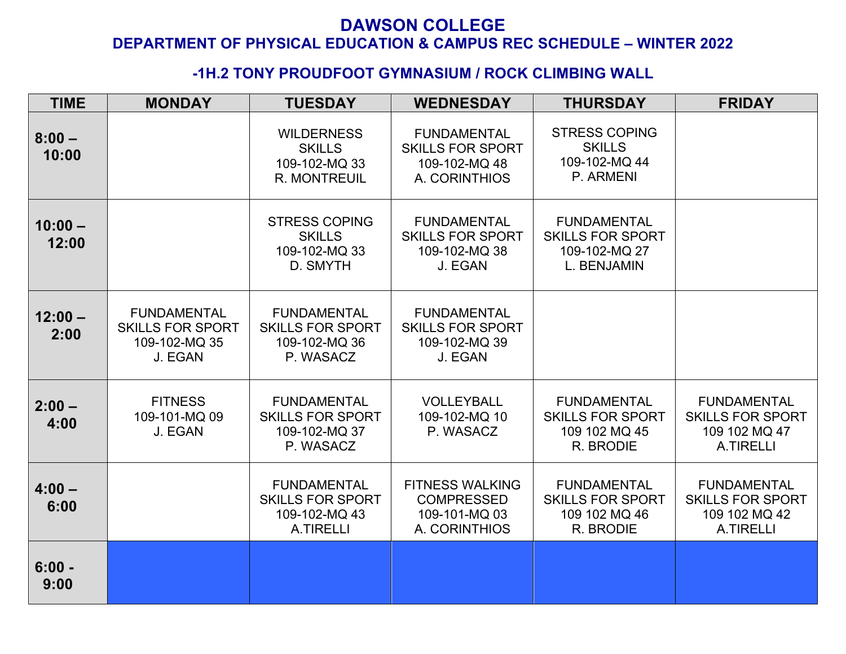#### **-1H.2 TONY PROUDFOOT GYMNASIUM / ROCK CLIMBING WALL**

| <b>TIME</b>        | <b>MONDAY</b>                                                             | <b>TUESDAY</b>                                                                     | <b>WEDNESDAY</b>                                                                | <b>THURSDAY</b>                                                               | <b>FRIDAY</b>                                                                      |
|--------------------|---------------------------------------------------------------------------|------------------------------------------------------------------------------------|---------------------------------------------------------------------------------|-------------------------------------------------------------------------------|------------------------------------------------------------------------------------|
| $8:00 -$<br>10:00  |                                                                           | <b>WILDERNESS</b><br><b>SKILLS</b><br>109-102-MQ 33<br><b>R. MONTREUIL</b>         | <b>FUNDAMENTAL</b><br><b>SKILLS FOR SPORT</b><br>109-102-MQ 48<br>A. CORINTHIOS | <b>STRESS COPING</b><br><b>SKILLS</b><br>109-102-MQ 44<br>P. ARMENI           |                                                                                    |
| $10:00 -$<br>12:00 |                                                                           | <b>STRESS COPING</b><br><b>SKILLS</b><br>109-102-MQ 33<br>D. SMYTH                 | <b>FUNDAMENTAL</b><br><b>SKILLS FOR SPORT</b><br>109-102-MQ 38<br>J. EGAN       | <b>FUNDAMENTAL</b><br><b>SKILLS FOR SPORT</b><br>109-102-MQ 27<br>L. BENJAMIN |                                                                                    |
| $12:00 -$<br>2:00  | <b>FUNDAMENTAL</b><br><b>SKILLS FOR SPORT</b><br>109-102-MQ 35<br>J. EGAN | <b>FUNDAMENTAL</b><br><b>SKILLS FOR SPORT</b><br>109-102-MQ 36<br>P. WASACZ        | <b>FUNDAMENTAL</b><br><b>SKILLS FOR SPORT</b><br>109-102-MQ 39<br>J. EGAN       |                                                                               |                                                                                    |
| $2:00 -$<br>4:00   | <b>FITNESS</b><br>109-101-MQ 09<br>J. EGAN                                | <b>FUNDAMENTAL</b><br><b>SKILLS FOR SPORT</b><br>109-102-MQ 37<br>P. WASACZ        | VOLLEYBALL<br>109-102-MQ 10<br>P. WASACZ                                        | <b>FUNDAMENTAL</b><br><b>SKILLS FOR SPORT</b><br>109 102 MQ 45<br>R. BRODIE   | <b>FUNDAMENTAL</b><br><b>SKILLS FOR SPORT</b><br>109 102 MQ 47<br><b>A.TIRELLI</b> |
| $4:00 -$<br>6:00   |                                                                           | <b>FUNDAMENTAL</b><br><b>SKILLS FOR SPORT</b><br>109-102-MQ 43<br><b>A.TIRELLI</b> | <b>FITNESS WALKING</b><br><b>COMPRESSED</b><br>109-101-MQ 03<br>A. CORINTHIOS   | <b>FUNDAMENTAL</b><br><b>SKILLS FOR SPORT</b><br>109 102 MQ 46<br>R. BRODIE   | <b>FUNDAMENTAL</b><br><b>SKILLS FOR SPORT</b><br>109 102 MQ 42<br>A.TIRELLI        |
| $6:00 -$<br>9:00   |                                                                           |                                                                                    |                                                                                 |                                                                               |                                                                                    |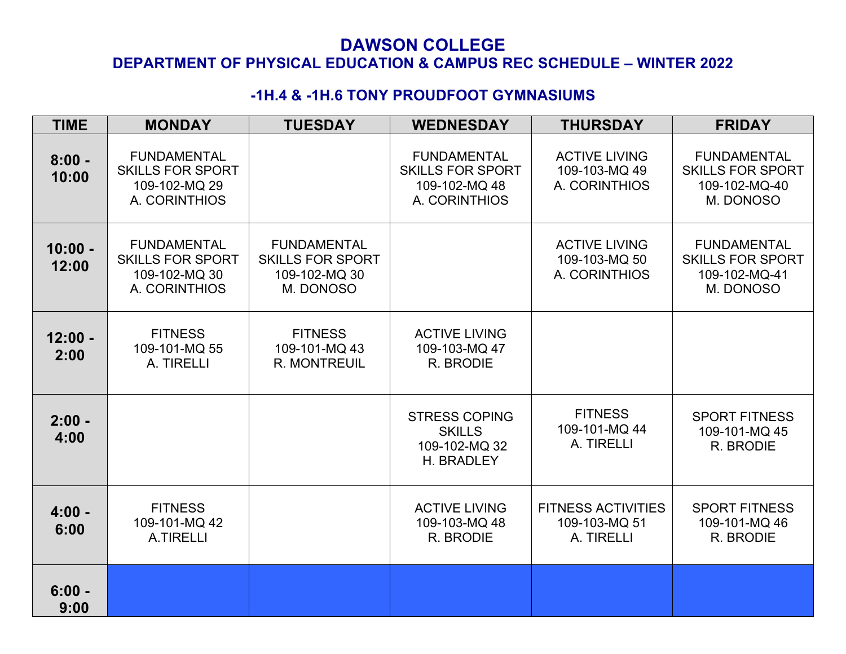## **DAWSON COLLEGE**

#### **DEPARTMENT OF PHYSICAL EDUCATION & CAMPUS REC SCHEDULE – WINTER 2022**

## **-1H.4 & -1H.6 TONY PROUDFOOT GYMNASIUMS**

| <b>TIME</b>        | <b>MONDAY</b>                                                                   | <b>TUESDAY</b>                                                              | <b>WEDNESDAY</b>                                                                | <b>THURSDAY</b>                                          | <b>FRIDAY</b>                                                               |
|--------------------|---------------------------------------------------------------------------------|-----------------------------------------------------------------------------|---------------------------------------------------------------------------------|----------------------------------------------------------|-----------------------------------------------------------------------------|
| $8:00 -$<br>10:00  | <b>FUNDAMENTAL</b><br><b>SKILLS FOR SPORT</b><br>109-102-MQ 29<br>A. CORINTHIOS |                                                                             | <b>FUNDAMENTAL</b><br><b>SKILLS FOR SPORT</b><br>109-102-MQ 48<br>A. CORINTHIOS | <b>ACTIVE LIVING</b><br>109-103-MQ 49<br>A. CORINTHIOS   | <b>FUNDAMENTAL</b><br><b>SKILLS FOR SPORT</b><br>109-102-MQ-40<br>M. DONOSO |
| $10:00 -$<br>12:00 | <b>FUNDAMENTAL</b><br><b>SKILLS FOR SPORT</b><br>109-102-MQ 30<br>A. CORINTHIOS | <b>FUNDAMENTAL</b><br><b>SKILLS FOR SPORT</b><br>109-102-MQ 30<br>M. DONOSO |                                                                                 | <b>ACTIVE LIVING</b><br>109-103-MQ 50<br>A. CORINTHIOS   | <b>FUNDAMENTAL</b><br><b>SKILLS FOR SPORT</b><br>109-102-MQ-41<br>M. DONOSO |
| $12:00 -$<br>2:00  | <b>FITNESS</b><br>109-101-MQ 55<br>A. TIRELLI                                   | <b>FITNESS</b><br>109-101-MQ 43<br><b>R. MONTREUIL</b>                      | <b>ACTIVE LIVING</b><br>109-103-MQ 47<br>R. BRODIE                              |                                                          |                                                                             |
| $2:00 -$<br>4:00   |                                                                                 |                                                                             | <b>STRESS COPING</b><br><b>SKILLS</b><br>109-102-MQ 32<br>H. BRADLEY            | <b>FITNESS</b><br>109-101-MQ 44<br>A. TIRELLI            | <b>SPORT FITNESS</b><br>109-101-MQ 45<br>R. BRODIE                          |
| $4:00 -$<br>6:00   | <b>FITNESS</b><br>109-101-MQ 42<br>A.TIRELLI                                    |                                                                             | <b>ACTIVE LIVING</b><br>109-103-MQ 48<br>R. BRODIE                              | <b>FITNESS ACTIVITIES</b><br>109-103-MQ 51<br>A. TIRELLI | <b>SPORT FITNESS</b><br>109-101-MQ 46<br>R. BRODIE                          |
| $6:00 -$<br>9:00   |                                                                                 |                                                                             |                                                                                 |                                                          |                                                                             |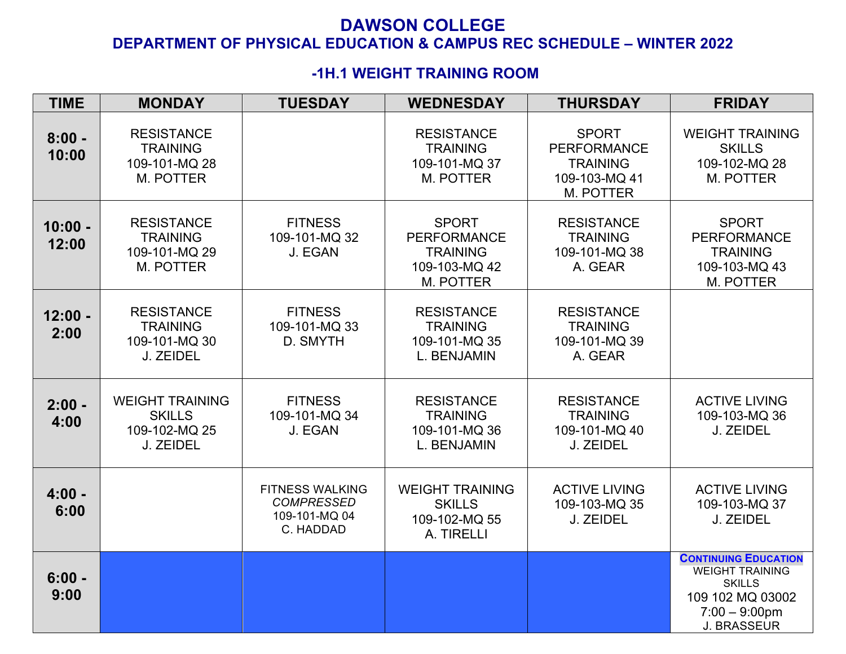#### **-1H.1 WEIGHT TRAINING ROOM**

| <b>TIME</b>        | <b>MONDAY</b>                                                         | <b>TUESDAY</b>                                                            | <b>WEDNESDAY</b>                                                                    | <b>THURSDAY</b>                                                                     | <b>FRIDAY</b>                                                                                                                        |
|--------------------|-----------------------------------------------------------------------|---------------------------------------------------------------------------|-------------------------------------------------------------------------------------|-------------------------------------------------------------------------------------|--------------------------------------------------------------------------------------------------------------------------------------|
| $8:00 -$<br>10:00  | <b>RESISTANCE</b><br><b>TRAINING</b><br>109-101-MQ 28<br>M. POTTER    |                                                                           | <b>RESISTANCE</b><br><b>TRAINING</b><br>109-101-MQ 37<br>M. POTTER                  | <b>SPORT</b><br><b>PERFORMANCE</b><br><b>TRAINING</b><br>109-103-MQ 41<br>M. POTTER | <b>WEIGHT TRAINING</b><br><b>SKILLS</b><br>109-102-MQ 28<br>M. POTTER                                                                |
| $10:00 -$<br>12:00 | <b>RESISTANCE</b><br><b>TRAINING</b><br>109-101-MQ 29<br>M. POTTER    | <b>FITNESS</b><br>109-101-MQ 32<br>J. EGAN                                | <b>SPORT</b><br><b>PERFORMANCE</b><br><b>TRAINING</b><br>109-103-MQ 42<br>M. POTTER | <b>RESISTANCE</b><br><b>TRAINING</b><br>109-101-MQ 38<br>A. GEAR                    | <b>SPORT</b><br><b>PERFORMANCE</b><br><b>TRAINING</b><br>109-103-MQ 43<br>M. POTTER                                                  |
| $12:00 -$<br>2:00  | <b>RESISTANCE</b><br><b>TRAINING</b><br>109-101-MQ 30<br>J. ZEIDEL    | <b>FITNESS</b><br>109-101-MQ 33<br>D. SMYTH                               | <b>RESISTANCE</b><br><b>TRAINING</b><br>109-101-MQ 35<br>L. BENJAMIN                | <b>RESISTANCE</b><br><b>TRAINING</b><br>109-101-MQ 39<br>A. GEAR                    |                                                                                                                                      |
| $2:00 -$<br>4:00   | <b>WEIGHT TRAINING</b><br><b>SKILLS</b><br>109-102-MQ 25<br>J. ZEIDEL | <b>FITNESS</b><br>109-101-MQ 34<br>J. EGAN                                | <b>RESISTANCE</b><br><b>TRAINING</b><br>109-101-MQ 36<br>L. BENJAMIN                | <b>RESISTANCE</b><br><b>TRAINING</b><br>109-101-MQ 40<br>J. ZEIDEL                  | <b>ACTIVE LIVING</b><br>109-103-MQ 36<br>J. ZEIDEL                                                                                   |
| $4:00 -$<br>6:00   |                                                                       | <b>FITNESS WALKING</b><br><b>COMPRESSED</b><br>109-101-MQ 04<br>C. HADDAD | <b>WEIGHT TRAINING</b><br><b>SKILLS</b><br>109-102-MQ 55<br>A. TIRELLI              | <b>ACTIVE LIVING</b><br>109-103-MQ 35<br>J. ZEIDEL                                  | <b>ACTIVE LIVING</b><br>109-103-MQ 37<br>J. ZEIDEL                                                                                   |
| $6:00 -$<br>9:00   |                                                                       |                                                                           |                                                                                     |                                                                                     | <b>CONTINUING EDUCATION</b><br><b>WEIGHT TRAINING</b><br><b>SKILLS</b><br>109 102 MQ 03002<br>$7:00 - 9:00$ pm<br><b>J. BRASSEUR</b> |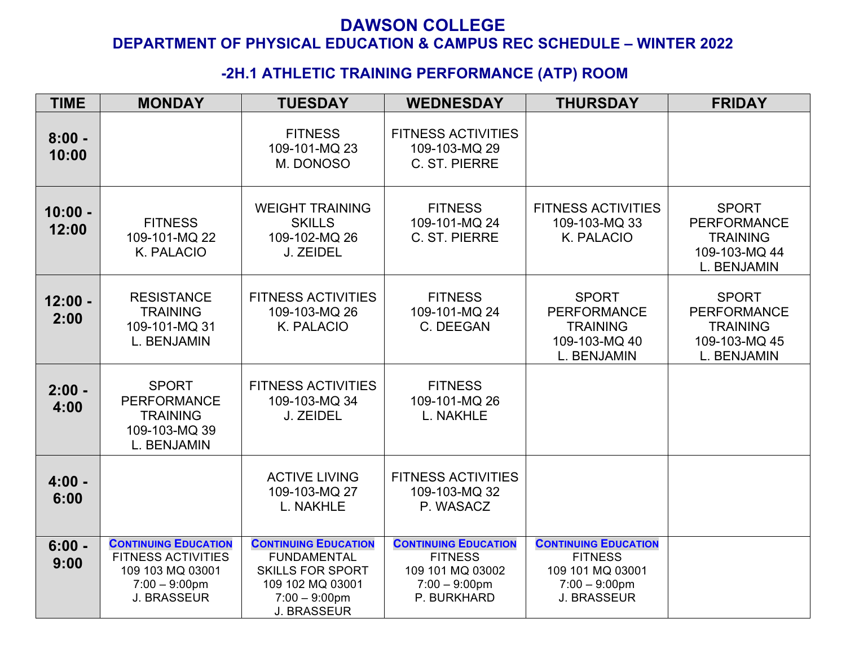## **-2H.1 ATHLETIC TRAINING PERFORMANCE (ATP) ROOM**

| <b>TIME</b>        | <b>MONDAY</b>                                                                                                          | <b>TUESDAY</b>                                                                                                                             | <b>WEDNESDAY</b>                                                                                     | <b>THURSDAY</b>                                                                                             | <b>FRIDAY</b>                                                                         |
|--------------------|------------------------------------------------------------------------------------------------------------------------|--------------------------------------------------------------------------------------------------------------------------------------------|------------------------------------------------------------------------------------------------------|-------------------------------------------------------------------------------------------------------------|---------------------------------------------------------------------------------------|
| $8:00 -$<br>10:00  |                                                                                                                        | <b>FITNESS</b><br>109-101-MQ 23<br>M. DONOSO                                                                                               | <b>FITNESS ACTIVITIES</b><br>109-103-MQ 29<br>C. ST. PIERRE                                          |                                                                                                             |                                                                                       |
| $10:00 -$<br>12:00 | <b>FITNESS</b><br>109-101-MQ 22<br>K. PALACIO                                                                          | <b>WEIGHT TRAINING</b><br><b>SKILLS</b><br>109-102-MQ 26<br>J. ZEIDEL                                                                      | <b>FITNESS</b><br>109-101-MQ 24<br>C. ST. PIERRE                                                     | <b>FITNESS ACTIVITIES</b><br>109-103-MQ 33<br>K. PALACIO                                                    | <b>SPORT</b><br><b>PERFORMANCE</b><br><b>TRAINING</b><br>109-103-MQ 44<br>L. BENJAMIN |
| $12:00 -$<br>2:00  | <b>RESISTANCE</b><br><b>TRAINING</b><br>109-101-MQ 31<br>L. BENJAMIN                                                   | <b>FITNESS ACTIVITIES</b><br>109-103-MQ 26<br>K. PALACIO                                                                                   | <b>FITNESS</b><br>109-101-MQ 24<br>C. DEEGAN                                                         | <b>SPORT</b><br><b>PERFORMANCE</b><br><b>TRAINING</b><br>109-103-MQ 40<br>L. BENJAMIN                       | <b>SPORT</b><br><b>PERFORMANCE</b><br><b>TRAINING</b><br>109-103-MQ 45<br>L. BENJAMIN |
| $2:00 -$<br>4:00   | <b>SPORT</b><br><b>PERFORMANCE</b><br><b>TRAINING</b><br>109-103-MQ 39<br>L. BENJAMIN                                  | <b>FITNESS ACTIVITIES</b><br>109-103-MQ 34<br>J. ZEIDEL                                                                                    | <b>FITNESS</b><br>109-101-MQ 26<br>L. NAKHLE                                                         |                                                                                                             |                                                                                       |
| $4:00 -$<br>6:00   |                                                                                                                        | <b>ACTIVE LIVING</b><br>109-103-MQ 27<br>L. NAKHLE                                                                                         | <b>FITNESS ACTIVITIES</b><br>109-103-MQ 32<br>P. WASACZ                                              |                                                                                                             |                                                                                       |
| $6:00 -$<br>9:00   | <b>CONTINUING EDUCATION</b><br><b>FITNESS ACTIVITIES</b><br>109 103 MQ 03001<br>$7:00 - 9:00$ pm<br><b>J. BRASSEUR</b> | <b>CONTINUING EDUCATION</b><br><b>FUNDAMENTAL</b><br><b>SKILLS FOR SPORT</b><br>109 102 MQ 03001<br>$7:00 - 9:00$ pm<br><b>J. BRASSEUR</b> | <b>CONTINUING EDUCATION</b><br><b>FITNESS</b><br>109 101 MQ 03002<br>$7:00 - 9:00$ pm<br>P. BURKHARD | <b>CONTINUING EDUCATION</b><br><b>FITNESS</b><br>109 101 MQ 03001<br>$7:00 - 9:00$ pm<br><b>J. BRASSEUR</b> |                                                                                       |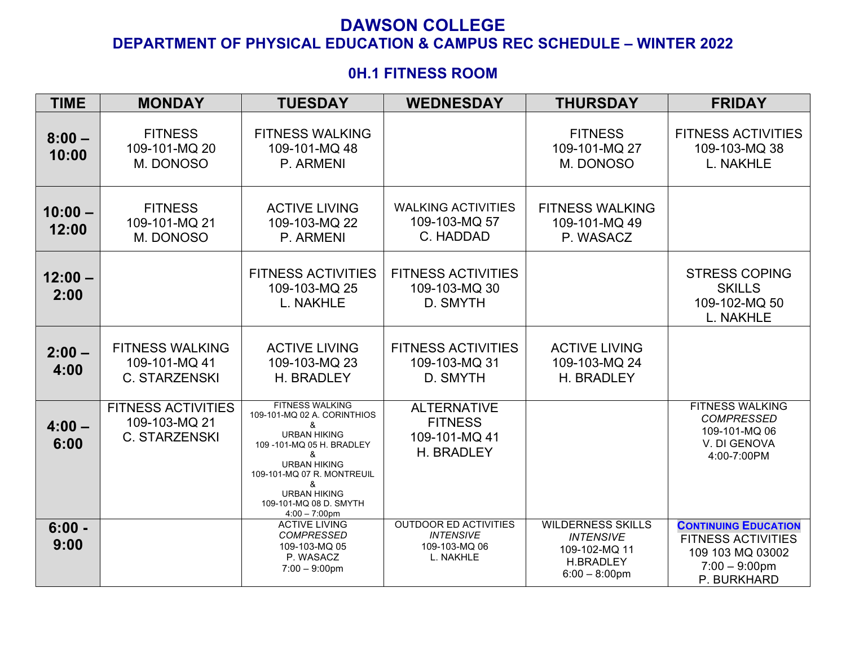#### **0H.1 FITNESS ROOM**

| <b>TIME</b>        | <b>MONDAY</b>                                                      | <b>TUESDAY</b>                                                                                                                                                                                                                                                             | <b>WEDNESDAY</b>                                                               | <b>THURSDAY</b>                                                                                       | <b>FRIDAY</b>                                                                                                   |
|--------------------|--------------------------------------------------------------------|----------------------------------------------------------------------------------------------------------------------------------------------------------------------------------------------------------------------------------------------------------------------------|--------------------------------------------------------------------------------|-------------------------------------------------------------------------------------------------------|-----------------------------------------------------------------------------------------------------------------|
| $8:00 -$<br>10:00  | <b>FITNESS</b><br>109-101-MQ 20<br>M. DONOSO                       | <b>FITNESS WALKING</b><br>109-101-MQ 48<br>P. ARMENI                                                                                                                                                                                                                       |                                                                                | <b>FITNESS</b><br>109-101-MQ 27<br>M. DONOSO                                                          | <b>FITNESS ACTIVITIES</b><br>109-103-MQ 38<br>L. NAKHLE                                                         |
| $10:00 -$<br>12:00 | <b>FITNESS</b><br>109-101-MQ 21<br>M. DONOSO                       | <b>ACTIVE LIVING</b><br>109-103-MQ 22<br>P. ARMENI                                                                                                                                                                                                                         | <b>WALKING ACTIVITIES</b><br>109-103-MQ 57<br>C. HADDAD                        | <b>FITNESS WALKING</b><br>109-101-MQ 49<br>P. WASACZ                                                  |                                                                                                                 |
| $12:00 -$<br>2:00  |                                                                    | <b>FITNESS ACTIVITIES</b><br>109-103-MQ 25<br>L. NAKHLE                                                                                                                                                                                                                    | <b>FITNESS ACTIVITIES</b><br>109-103-MQ 30<br>D. SMYTH                         |                                                                                                       | <b>STRESS COPING</b><br><b>SKILLS</b><br>109-102-MQ 50<br><b>L. NAKHLE</b>                                      |
| $2:00 -$<br>4:00   | <b>FITNESS WALKING</b><br>109-101-MQ 41<br><b>C. STARZENSKI</b>    | <b>ACTIVE LIVING</b><br>109-103-MQ 23<br>H. BRADLEY                                                                                                                                                                                                                        | <b>FITNESS ACTIVITIES</b><br>109-103-MQ 31<br>D. SMYTH                         | <b>ACTIVE LIVING</b><br>109-103-MQ 24<br>H. BRADLEY                                                   |                                                                                                                 |
| $4:00 -$<br>6:00   | <b>FITNESS ACTIVITIES</b><br>109-103-MQ 21<br><b>C. STARZENSKI</b> | <b>FITNESS WALKING</b><br>109-101-MQ 02 A. CORINTHIOS<br>&<br><b>URBAN HIKING</b><br>109-101-MQ 05 H. BRADLEY<br>$\boldsymbol{\mathcal{R}}$<br><b>URBAN HIKING</b><br>109-101-MQ 07 R. MONTREUIL<br>&<br><b>URBAN HIKING</b><br>109-101-MQ 08 D. SMYTH<br>$4:00 - 7:00$ pm | <b>ALTERNATIVE</b><br><b>FITNESS</b><br>109-101-MQ 41<br>H. BRADLEY            |                                                                                                       | <b>FITNESS WALKING</b><br><b>COMPRESSED</b><br>109-101-MQ 06<br>V. DI GENOVA<br>4:00-7:00PM                     |
| $6:00 -$<br>9:00   |                                                                    | <b>ACTIVE LIVING</b><br><b>COMPRESSED</b><br>109-103-MQ 05<br>P. WASACZ<br>$7:00 - 9:00$ pm                                                                                                                                                                                | <b>OUTDOOR ED ACTIVITIES</b><br><b>INTENSIVE</b><br>109-103-MQ 06<br>L. NAKHLE | <b>WILDERNESS SKILLS</b><br><b>INTENSIVE</b><br>109-102-MQ 11<br><b>H.BRADLEY</b><br>$6:00 - 8:00$ pm | <b>CONTINUING EDUCATION</b><br><b>FITNESS ACTIVITIES</b><br>109 103 MQ 03002<br>$7:00 - 9:00$ pm<br>P. BURKHARD |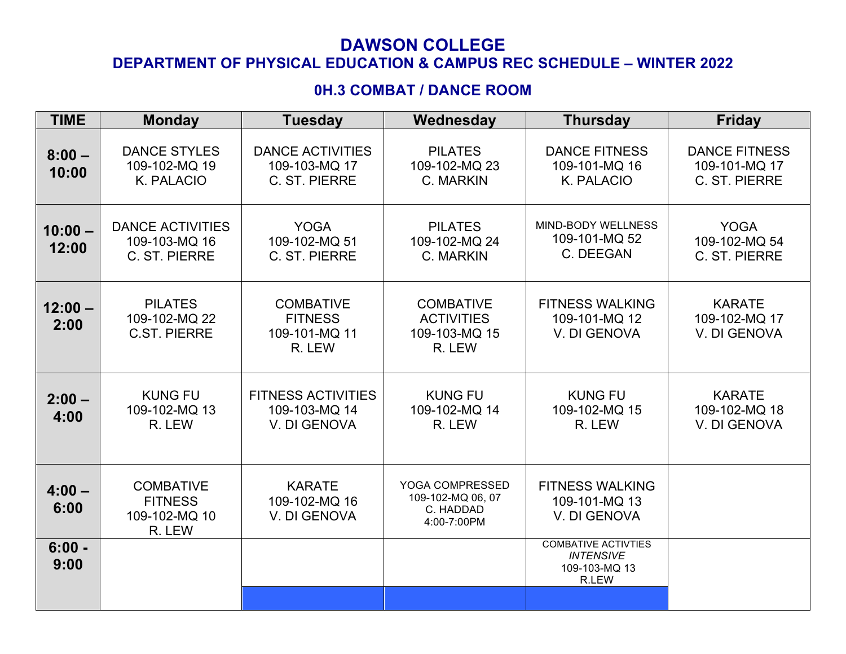# **DAWSON COLLEGE**

## **DEPARTMENT OF PHYSICAL EDUCATION & CAMPUS REC SCHEDULE – WINTER 2022**

## **0H.3 COMBAT / DANCE ROOM**

| <b>TIME</b>        | <b>Monday</b>                                                 | <b>Tuesday</b>                                                | Wednesday                                                        | <b>Thursday</b>                                                          | <b>Friday</b>                                          |
|--------------------|---------------------------------------------------------------|---------------------------------------------------------------|------------------------------------------------------------------|--------------------------------------------------------------------------|--------------------------------------------------------|
| $8:00 -$<br>10:00  | <b>DANCE STYLES</b><br>109-102-MQ 19<br>K. PALACIO            | <b>DANCE ACTIVITIES</b><br>109-103-MQ 17<br>C. ST. PIERRE     | <b>PILATES</b><br>109-102-MQ 23<br>C. MARKIN                     | <b>DANCE FITNESS</b><br>109-101-MQ 16<br>K. PALACIO                      | <b>DANCE FITNESS</b><br>109-101-MQ 17<br>C. ST. PIERRE |
| $10:00 -$<br>12:00 | <b>DANCE ACTIVITIES</b><br>109-103-MQ 16<br>C. ST. PIERRE     | <b>YOGA</b><br>109-102-MQ 51<br>C. ST. PIERRE                 | <b>PILATES</b><br>109-102-MQ 24<br>C. MARKIN                     | MIND-BODY WELLNESS<br>109-101-MQ 52<br>C. DEEGAN                         | <b>YOGA</b><br>109-102-MQ 54<br>C. ST. PIERRE          |
| $12:00 -$<br>2:00  | <b>PILATES</b><br>109-102-MQ 22<br><b>C.ST. PIERRE</b>        | <b>COMBATIVE</b><br><b>FITNESS</b><br>109-101-MQ 11<br>R. LEW | <b>COMBATIVE</b><br><b>ACTIVITIES</b><br>109-103-MQ 15<br>R. LEW | <b>FITNESS WALKING</b><br>109-101-MQ 12<br>V. DI GENOVA                  | <b>KARATE</b><br>109-102-MQ 17<br>V. DI GENOVA         |
| $2:00 -$<br>4:00   | <b>KUNG FU</b><br>109-102-MQ 13<br>R. LEW                     | <b>FITNESS ACTIVITIES</b><br>109-103-MQ 14<br>V. DI GENOVA    | <b>KUNG FU</b><br>109-102-MQ 14<br>R. LEW                        | <b>KUNG FU</b><br>109-102-MQ 15<br>R. LEW                                | <b>KARATE</b><br>109-102-MQ 18<br>V. DI GENOVA         |
| $4:00 -$<br>6:00   | <b>COMBATIVE</b><br><b>FITNESS</b><br>109-102-MQ 10<br>R. LEW | <b>KARATE</b><br>109-102-MQ 16<br>V. DI GENOVA                | YOGA COMPRESSED<br>109-102-MQ 06, 07<br>C. HADDAD<br>4:00-7:00PM | <b>FITNESS WALKING</b><br>109-101-MQ 13<br>V. DI GENOVA                  |                                                        |
| $6:00 -$<br>9:00   |                                                               |                                                               |                                                                  | <b>COMBATIVE ACTIVTIES</b><br><b>INTENSIVE</b><br>109-103-MQ 13<br>R.LEW |                                                        |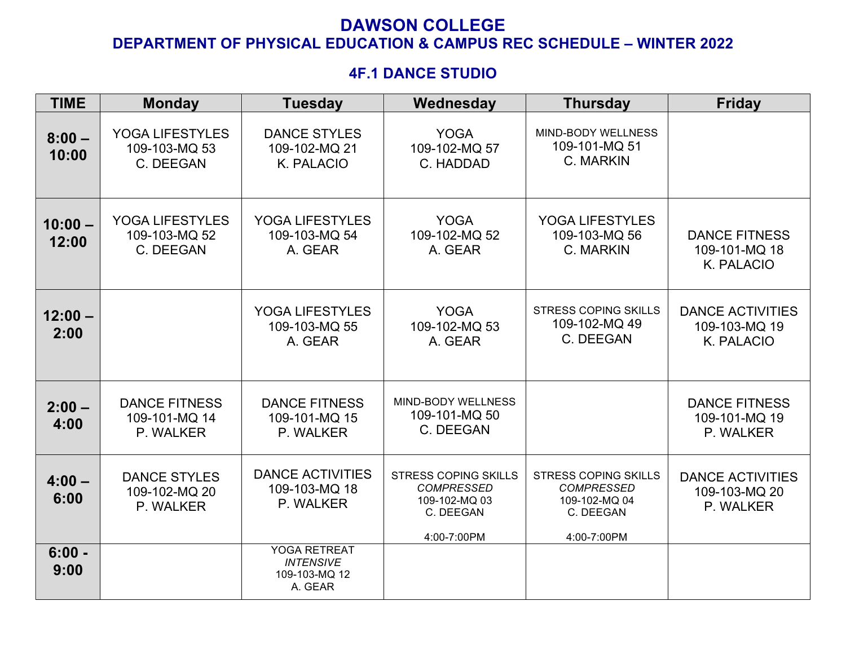#### **4F.1 DANCE STUDIO**

| <b>TIME</b>        | <b>Monday</b>                                      | <b>Tuesday</b>                                                      | Wednesday                                                                                     | <b>Thursday</b>                                                                               | <b>Friday</b>                                          |
|--------------------|----------------------------------------------------|---------------------------------------------------------------------|-----------------------------------------------------------------------------------------------|-----------------------------------------------------------------------------------------------|--------------------------------------------------------|
| $8:00 -$<br>10:00  | YOGA LIFESTYLES<br>109-103-MQ 53<br>C. DEEGAN      | <b>DANCE STYLES</b><br>109-102-MQ 21<br>K. PALACIO                  | <b>YOGA</b><br>109-102-MQ 57<br>C. HADDAD                                                     | <b>MIND-BODY WELLNESS</b><br>109-101-MQ 51<br>C. MARKIN                                       |                                                        |
| $10:00 -$<br>12:00 | YOGA LIFESTYLES<br>109-103-MQ 52<br>C. DEEGAN      | YOGA LIFESTYLES<br>109-103-MQ 54<br>A. GEAR                         | <b>YOGA</b><br>109-102-MQ 52<br>A. GEAR                                                       | <b>YOGA LIFESTYLES</b><br>109-103-MQ 56<br>C. MARKIN                                          | <b>DANCE FITNESS</b><br>109-101-MQ 18<br>K. PALACIO    |
| $12:00 -$<br>2:00  |                                                    | YOGA LIFESTYLES<br>109-103-MQ 55<br>A. GEAR                         | <b>YOGA</b><br>109-102-MQ 53<br>A. GEAR                                                       | <b>STRESS COPING SKILLS</b><br>109-102-MQ 49<br>C. DEEGAN                                     | <b>DANCE ACTIVITIES</b><br>109-103-MQ 19<br>K. PALACIO |
| $2:00 -$<br>4:00   | <b>DANCE FITNESS</b><br>109-101-MQ 14<br>P. WALKER | <b>DANCE FITNESS</b><br>109-101-MQ 15<br>P. WALKER                  | MIND-BODY WELLNESS<br>109-101-MQ 50<br>C. DEEGAN                                              |                                                                                               | <b>DANCE FITNESS</b><br>109-101-MQ 19<br>P. WALKER     |
| $4:00 -$<br>6:00   | <b>DANCE STYLES</b><br>109-102-MQ 20<br>P. WALKER  | <b>DANCE ACTIVITIES</b><br>109-103-MQ 18<br>P. WALKER               | <b>STRESS COPING SKILLS</b><br><b>COMPRESSED</b><br>109-102-MQ 03<br>C. DEEGAN<br>4:00-7:00PM | <b>STRESS COPING SKILLS</b><br><b>COMPRESSED</b><br>109-102-MQ 04<br>C. DEEGAN<br>4:00-7:00PM | <b>DANCE ACTIVITIES</b><br>109-103-MQ 20<br>P. WALKER  |
| $6:00 -$<br>9:00   |                                                    | <b>YOGA RETREAT</b><br><b>INTENSIVE</b><br>109-103-MQ 12<br>A. GEAR |                                                                                               |                                                                                               |                                                        |